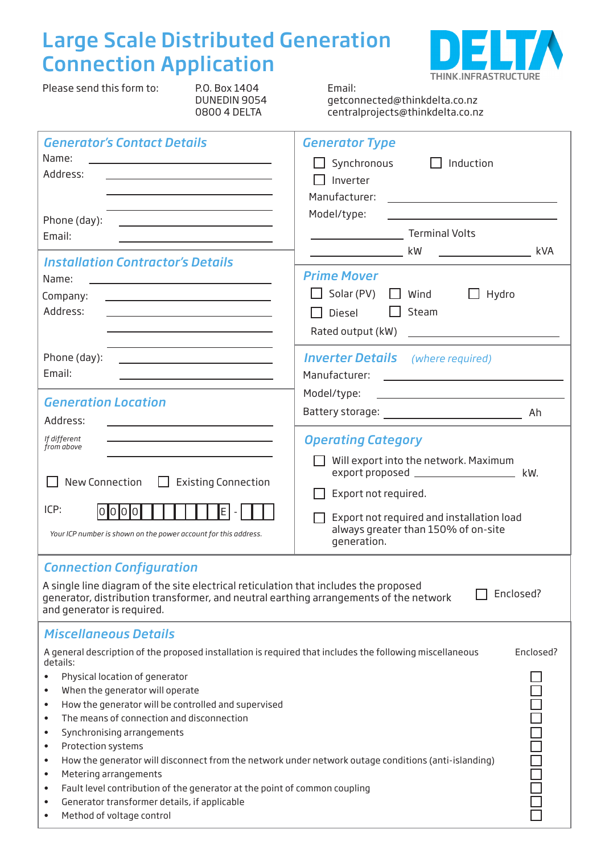## Large Scale Distributed Generation Connection Application



Please send this form to:

P.O. Box 1404 DUNEDIN 9054 0800 4 DELTA

| Email:                           |
|----------------------------------|
| getconnected@thinkdelta.co.nz    |
| centralprojects@thinkdelta.co.nz |

| <b>Generator's Contact Details</b>                                                                                                                                                         | <b>Generator Type</b>                                                      |  |  |
|--------------------------------------------------------------------------------------------------------------------------------------------------------------------------------------------|----------------------------------------------------------------------------|--|--|
| Name:<br>the control of the control of the control of the control of the control of                                                                                                        | Synchronous<br>Induction                                                   |  |  |
| Address:                                                                                                                                                                                   | Inverter                                                                   |  |  |
|                                                                                                                                                                                            | Manufacturer:<br><u> 1980 - Johann Stoff, fransk politik (d. 1980)</u>     |  |  |
|                                                                                                                                                                                            | Model/type:                                                                |  |  |
| Phone (day):<br>the control of the control of the control of the control of the control of                                                                                                 |                                                                            |  |  |
| Email:<br>the control of the control of the control of the control of the control of                                                                                                       | <b>Terminal Volts</b>                                                      |  |  |
| <b>Installation Contractor's Details</b>                                                                                                                                                   | kVA<br>kW                                                                  |  |  |
|                                                                                                                                                                                            | <b>Prime Mover</b>                                                         |  |  |
| Name:<br><u> 1989 - Johann Barn, amerikansk politiker (</u>                                                                                                                                |                                                                            |  |  |
| Company:<br>the control of the control of the control of the control of the control of the control of                                                                                      | Solar (PV)<br>Hydro<br>Wind                                                |  |  |
| Address:                                                                                                                                                                                   | Steam<br>Diesel                                                            |  |  |
|                                                                                                                                                                                            | Rated output (kW)<br><u> 1989 - Andrea Aonaichte ann an t-</u>             |  |  |
| Phone (day):                                                                                                                                                                               | <b>Inverter Details</b> (where required)                                   |  |  |
| the control of the control of the control of the control of the control of<br>Email:                                                                                                       | Manufacturer:<br><u> 1989 - Johann Barbara, martin amerikan personal (</u> |  |  |
|                                                                                                                                                                                            |                                                                            |  |  |
| <b>Generation Location</b>                                                                                                                                                                 | Model/type:<br><u> 1989 - Johann Stein, fransk politik (d. 1989)</u>       |  |  |
| Address:<br>the control of the control of the control of the control of the control of                                                                                                     |                                                                            |  |  |
| If different<br><u> 1989 - Johann Stoff, amerikansk politiker (d. 1989)</u>                                                                                                                |                                                                            |  |  |
| from above                                                                                                                                                                                 | <b>Operating Category</b>                                                  |  |  |
|                                                                                                                                                                                            | Will export into the network. Maximum                                      |  |  |
| New Connection<br>$\Box$ Existing Connection                                                                                                                                               | export proposed ________________________ kW.                               |  |  |
|                                                                                                                                                                                            | Export not required.                                                       |  |  |
| ICP:<br> o  o  o  o <br>ΙEΙ                                                                                                                                                                | Export not required and installation load                                  |  |  |
| Your ICP number is shown on the power account for this address.                                                                                                                            | always greater than 150% of on-site                                        |  |  |
|                                                                                                                                                                                            | generation.                                                                |  |  |
|                                                                                                                                                                                            |                                                                            |  |  |
| <b>Connection Configuration</b>                                                                                                                                                            |                                                                            |  |  |
| A single line diagram of the site electrical reticulation that includes the proposed<br>Enclosed?<br>generator, distribution transformer, and neutral earthing arrangements of the network |                                                                            |  |  |
| and generator is required.                                                                                                                                                                 |                                                                            |  |  |
| <b>Miscellaneous Details</b>                                                                                                                                                               |                                                                            |  |  |
|                                                                                                                                                                                            |                                                                            |  |  |
| A general description of the proposed installation is required that includes the following miscellaneous<br>details:                                                                       | Enclosed?                                                                  |  |  |
| Physical location of generator                                                                                                                                                             |                                                                            |  |  |
| When the generator will operate<br>$\bullet$                                                                                                                                               |                                                                            |  |  |
| How the generator will be controlled and supervised<br>$\bullet$                                                                                                                           |                                                                            |  |  |
| The means of connection and disconnection<br>$\bullet$                                                                                                                                     |                                                                            |  |  |
| Synchronising arrangements<br>$\bullet$                                                                                                                                                    |                                                                            |  |  |
| Protection systems<br>$\bullet$                                                                                                                                                            |                                                                            |  |  |
| 10000<br>How the generator will disconnect from the network under network outage conditions (anti-islanding)<br>$\bullet$                                                                  |                                                                            |  |  |
| Metering arrangements<br>٠                                                                                                                                                                 |                                                                            |  |  |
| Fault level contribution of the generator at the point of common coupling<br>$\bullet$<br>Generator transformer details, if applicable<br>$\bullet$                                        |                                                                            |  |  |
| Method of voltage control                                                                                                                                                                  |                                                                            |  |  |
|                                                                                                                                                                                            |                                                                            |  |  |